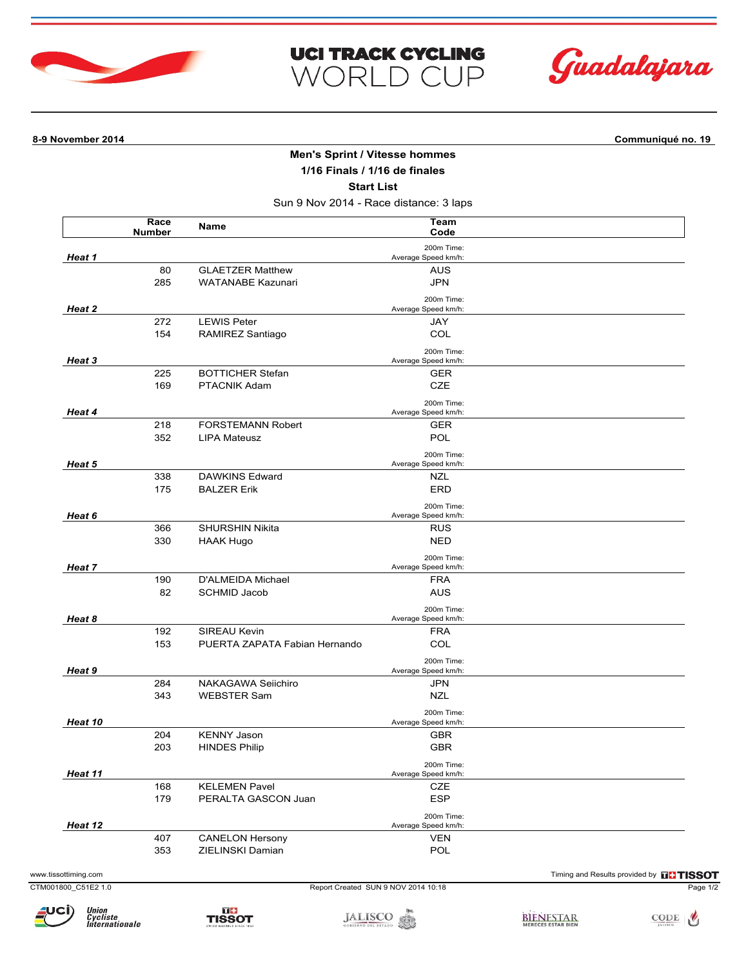



**8-9 November 2014 Communiqué no. 19**

## **Men's Sprint / Vitesse hommes**

**UCI TRACK CYCLING** 

WORLD CUP

**1/16 Finals / 1/16 de finales**

**Start List**

Sun 9 Nov 2014 - Race distance: 3 laps

|                      | Race<br><b>Number</b> | Name                                     | Team<br>Code                        |                                               |
|----------------------|-----------------------|------------------------------------------|-------------------------------------|-----------------------------------------------|
| Heat 1               |                       |                                          | 200m Time:<br>Average Speed km/h:   |                                               |
|                      | 80                    | <b>GLAETZER Matthew</b>                  | <b>AUS</b>                          |                                               |
|                      | 285                   | <b>WATANABE Kazunari</b>                 | <b>JPN</b>                          |                                               |
| Heat 2               |                       |                                          | 200m Time:<br>Average Speed km/h:   |                                               |
|                      | 272                   | <b>LEWIS Peter</b>                       | JAY                                 |                                               |
|                      | 154                   | RAMIREZ Santiago                         | COL                                 |                                               |
| Heat 3               |                       |                                          | 200m Time:<br>Average Speed km/h:   |                                               |
|                      | 225                   | <b>BOTTICHER Stefan</b>                  | <b>GER</b>                          |                                               |
|                      | 169                   | PTACNIK Adam                             | CZE                                 |                                               |
|                      |                       |                                          | 200m Time:                          |                                               |
| Heat 4               |                       |                                          | Average Speed km/h:                 |                                               |
|                      | 218                   | <b>FORSTEMANN Robert</b>                 | <b>GER</b>                          |                                               |
|                      | 352                   | LIPA Mateusz                             | POL                                 |                                               |
| Heat 5<br>Heat 6     |                       |                                          | 200m Time:<br>Average Speed km/h:   |                                               |
|                      | 338                   | <b>DAWKINS Edward</b>                    | NZL                                 |                                               |
|                      | 175                   | <b>BALZER Erik</b>                       | <b>ERD</b>                          |                                               |
|                      |                       |                                          | 200m Time:                          |                                               |
|                      |                       |                                          | Average Speed km/h:                 |                                               |
|                      | 366                   | <b>SHURSHIN Nikita</b>                   | <b>RUS</b>                          |                                               |
|                      | 330                   | <b>HAAK Hugo</b>                         | <b>NED</b>                          |                                               |
| Heat 7               |                       |                                          | 200m Time:<br>Average Speed km/h:   |                                               |
|                      | 190                   | D'ALMEIDA Michael                        | <b>FRA</b>                          |                                               |
|                      | 82                    | <b>SCHMID Jacob</b>                      | <b>AUS</b>                          |                                               |
| Heat 8               |                       |                                          | 200m Time:<br>Average Speed km/h:   |                                               |
|                      | 192                   | SIREAU Kevin                             | <b>FRA</b>                          |                                               |
|                      | 153                   | PUERTA ZAPATA Fabian Hernando            | COL                                 |                                               |
|                      |                       |                                          | 200m Time:                          |                                               |
| Heat 9               |                       |                                          | Average Speed km/h:                 |                                               |
|                      | 284<br>343            | NAKAGAWA Seiichiro<br><b>WEBSTER Sam</b> | <b>JPN</b><br><b>NZL</b>            |                                               |
|                      |                       |                                          | 200m Time:                          |                                               |
| Heat 10              |                       |                                          | Average Speed km/h:                 |                                               |
|                      | 204                   | <b>KENNY Jason</b>                       | <b>GBR</b>                          |                                               |
|                      | 203                   | <b>HINDES Philip</b>                     | <b>GBR</b>                          |                                               |
| Heat 11              |                       |                                          | 200m Time:<br>Average Speed km/h:   |                                               |
|                      | 168                   | <b>KELEMEN Pavel</b>                     | CZE                                 |                                               |
|                      | 179                   | PERALTA GASCON Juan                      | <b>ESP</b>                          |                                               |
|                      |                       |                                          | 200m Time:                          |                                               |
| Heat 12              | 407                   | <b>CANELON Hersony</b>                   | Average Speed km/h:<br><b>VEN</b>   |                                               |
|                      | 353                   | ZIELINSKI Damian                         | POL                                 |                                               |
|                      |                       |                                          |                                     |                                               |
| www.tissottiming.com |                       |                                          |                                     | Timing and Results provided by <b>THISSOT</b> |
| CTM001800 C51E2 1.0  |                       |                                          | Report Created SUN 9 NOV 2014 10:18 | Page 1/2                                      |



Union<br>Cycliste<br>Internationale

JALISCO SE ESTADO